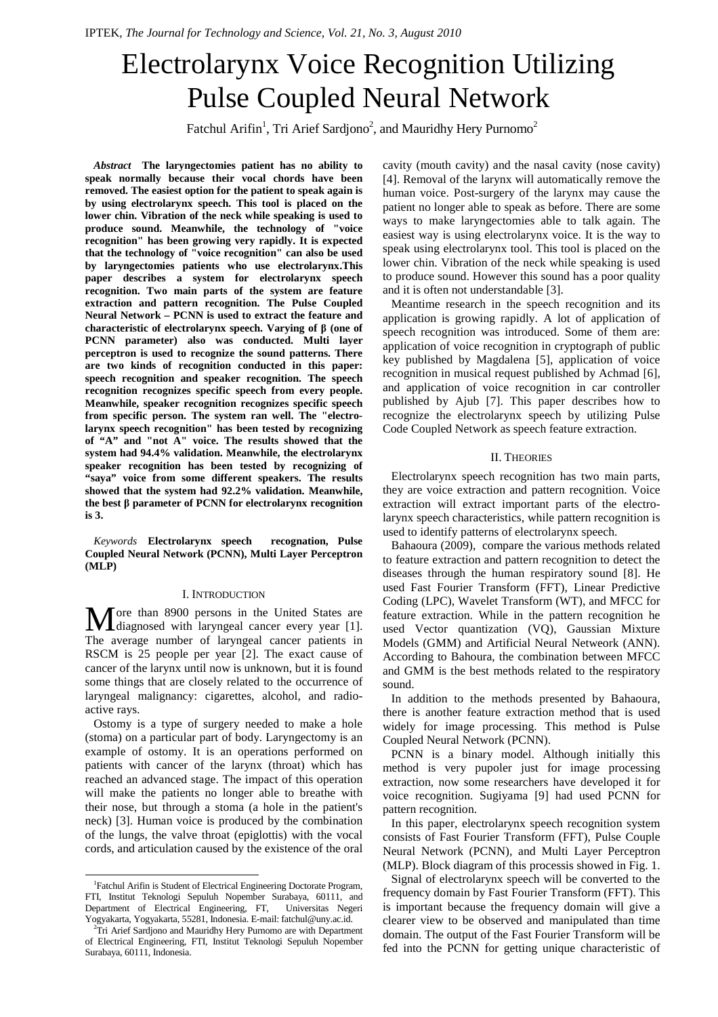# Electrolarynx Voice Recognition Utilizing Pulse Coupled Neural Network

Fatchul Arifin<sup>1</sup>, Tri Arief Sardjono<sup>2</sup>, and Mauridhy Hery Purnomo<sup>2</sup>

*Abstract***The laryngectomies patient has no ability to speak normally because their vocal chords have been removed. The easiest option for the patient to speak again is by using electrolarynx speech. This tool is placed on the lower chin. Vibration of the neck while speaking is used to produce sound. Meanwhile, the technology of "voice recognition" has been growing very rapidly. It is expected that the technology of "voice recognition" can also be used by laryngectomies patients who use electrolarynx.This paper describes a system for electrolarynx speech recognition. Two main parts of the system are feature extraction and pattern recognition. The Pulse Coupled Neural Network – PCNN is used to extract the feature and characteristic of electrolarynx speech. Varying of β (one of PCNN parameter) also was conducted. Multi layer perceptron is used to recognize the sound patterns. There are two kinds of recognition conducted in this paper: speech recognition and speaker recognition. The speech recognition recognizes specific speech from every people. Meanwhile, speaker recognition recognizes specific speech from specific person. The system ran well. The "electrolarynx speech recognition" has been tested by recognizing of "A" and "not A" voice. The results showed that the system had 94.4% validation. Meanwhile, the electrolarynx speaker recognition has been tested by recognizing of "saya" voice from some different speakers. The results showed that the system had 92.2% validation. Meanwhile, the best β parameter of PCNN for electrolarynx recognition is 3.** 

*Keywords***Electrolarynx speech recognation, Pulse Coupled Neural Network (PCNN), Multi Layer Perceptron (MLP)** 

#### I. INTRODUCTION

ore than 8900 persons in the United States are More than 8900 persons in the United States are diagnosed with laryngeal cancer every year [1]. The average number of laryngeal cancer patients in RSCM is 25 people per year [2]. The exact cause of cancer of the larynx until now is unknown, but it is found some things that are closely related to the occurrence of laryngeal malignancy: cigarettes, alcohol, and radioactive rays.

Ostomy is a type of surgery needed to make a hole (stoma) on a particular part of body. Laryngectomy is an example of ostomy. It is an operations performed on patients with cancer of the larynx (throat) which has reached an advanced stage. The impact of this operation will make the patients no longer able to breathe with their nose, but through a stoma (a hole in the patient's neck) [3]. Human voice is produced by the combination of the lungs, the valve throat (epiglottis) with the vocal cords, and articulation caused by the existence of the oral cavity (mouth cavity) and the nasal cavity (nose cavity) [4]. Removal of the larynx will automatically remove the human voice. Post-surgery of the larynx may cause the patient no longer able to speak as before. There are some ways to make laryngectomies able to talk again. The easiest way is using electrolarynx voice. It is the way to speak using electrolarynx tool. This tool is placed on the lower chin. Vibration of the neck while speaking is used to produce sound. However this sound has a poor quality and it is often not understandable [3].

Meantime research in the speech recognition and its application is growing rapidly. A lot of application of speech recognition was introduced. Some of them are: application of voice recognition in cryptograph of public key published by Magdalena [5], application of voice recognition in musical request published by Achmad [6], and application of voice recognition in car controller published by Ajub [7]. This paper describes how to recognize the electrolarynx speech by utilizing Pulse Code Coupled Network as speech feature extraction.

### II. THEORIES

Electrolarynx speech recognition has two main parts, they are voice extraction and pattern recognition. Voice extraction will extract important parts of the electrolarynx speech characteristics, while pattern recognition is used to identify patterns of electrolarynx speech.

Bahaoura (2009), compare the various methods related to feature extraction and pattern recognition to detect the diseases through the human respiratory sound [8]. He used Fast Fourier Transform (FFT), Linear Predictive Coding (LPC), Wavelet Transform (WT), and MFCC for feature extraction. While in the pattern recognition he used Vector quantization (VQ), Gaussian Mixture Models (GMM) and Artificial Neural Netweork (ANN). According to Bahoura, the combination between MFCC and GMM is the best methods related to the respiratory sound.

In addition to the methods presented by Bahaoura, there is another feature extraction method that is used widely for image processing. This method is Pulse Coupled Neural Network (PCNN).

PCNN is a binary model. Although initially this method is very pupoler just for image processing extraction, now some researchers have developed it for voice recognition. Sugiyama [9] had used PCNN for pattern recognition.

In this paper, electrolarynx speech recognition system consists of Fast Fourier Transform (FFT), Pulse Couple Neural Network (PCNN), and Multi Layer Perceptron (MLP). Block diagram of this processis showed in Fig. 1.

Signal of electrolarynx speech will be converted to the frequency domain by Fast Fourier Transform (FFT). This is important because the frequency domain will give a clearer view to be observed and manipulated than time domain. The output of the Fast Fourier Transform will be fed into the PCNN for getting unique characteristic of

 $\overline{a}$ <sup>1</sup>Fatchul Arifin is Student of Electrical Engineering Doctorate Program, FTI, Institut Teknologi Sepuluh Nopember Surabaya, 60111, and Department of Electrical Engineering, FT, Universitas Negeri Yogyakarta, Yogyakarta, 55281, Indonesia. E-mail: fatchul@uny.ac.id.

<sup>&</sup>lt;sup>2</sup>Tri Arief Sardjono and Mauridhy Hery Purnomo are with Department of Electrical Engineering, FTI, Institut Teknologi Sepuluh Nopember Surabaya, 60111, Indonesia.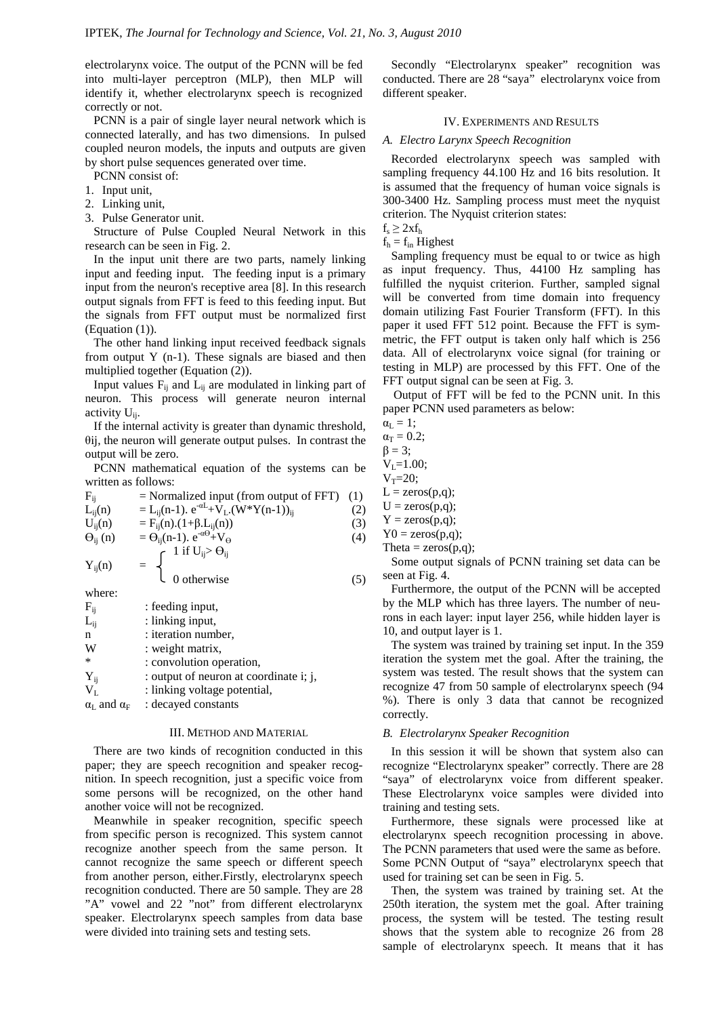electrolarynx voice. The output of the PCNN will be fed into multi-layer perceptron (MLP), then MLP will identify it, whether electrolarynx speech is recognized correctly or not.

PCNN is a pair of single layer neural network which is connected laterally, and has two dimensions. In pulsed coupled neuron models, the inputs and outputs are given by short pulse sequences generated over time.

PCNN consist of:

- 1. Input unit,
- 2. Linking unit,
- 3. Pulse Generator unit.

Structure of Pulse Coupled Neural Network in this research can be seen in Fig. 2.

In the input unit there are two parts, namely linking input and feeding input. The feeding input is a primary input from the neuron's receptive area [8]. In this research output signals from FFT is feed to this feeding input. But the signals from FFT output must be normalized first (Equation (1)).

The other hand linking input received feedback signals from output Y (n-1). These signals are biased and then multiplied together (Equation (2)).

Input values  $F_{ii}$  and  $L_{ii}$  are modulated in linking part of neuron. This process will generate neuron internal activity  $U_{ii}$ .

If the internal activity is greater than dynamic threshold, θij, the neuron will generate output pulses. In contrast the output will be zero.

PCNN mathematical equation of the systems can be written as follows:

$$
F_{ij} = \text{Normalized input (from output of FFT)} \quad (1)
$$
\n
$$
L_{ij}(n) = L_{ij}(n-1). e^{-\alpha L} + V_L.(W^*Y(n-1))_{ij} \quad (2)
$$

$$
U_{ij}(n) = F_{ij}(n) \cdot (1 + \beta \cdot L_{ij}(n)) \tag{3}
$$

0 otherwise (5)

$$
\Theta_{ij} (n) = \Theta_{ij} (n-1), e^{\alpha \Theta} + V_{\Theta}
$$
\n
$$
\int 1 \text{ if } U_{ij} > \Theta_{ij}
$$
\n(4)

 $Y_{ii}(n)$ 

where:

| $F_{ij}$                              | : feeding input,                       |
|---------------------------------------|----------------------------------------|
| $L_{ii}$                              | : linking input,                       |
| n                                     | : iteration number,                    |
| W                                     | : weight matrix,                       |
| $\ast$                                | : convolution operation,               |
| $Y_{ij}$                              | : output of neuron at coordinate i; j, |
| $V_{L}$                               | : linking voltage potential,           |
| $\alpha_{\rm L}$ and $\alpha_{\rm F}$ | : decayed constants                    |

### III. METHOD AND MATERIAL

There are two kinds of recognition conducted in this paper; they are speech recognition and speaker recognition. In speech recognition, just a specific voice from some persons will be recognized, on the other hand another voice will not be recognized.

Meanwhile in speaker recognition, specific speech from specific person is recognized. This system cannot recognize another speech from the same person. It cannot recognize the same speech or different speech from another person, either.Firstly, electrolarynx speech recognition conducted. There are 50 sample. They are 28 "A" vowel and 22 "not" from different electrolarynx speaker. Electrolarynx speech samples from data base were divided into training sets and testing sets.

Secondly "Electrolarynx speaker" recognition was conducted. There are 28 "saya" electrolarynx voice from different speaker.

# IV. EXPERIMENTS AND RESULTS

### *A. Electro Larynx Speech Recognition*

Recorded electrolarynx speech was sampled with sampling frequency 44.100 Hz and 16 bits resolution. It is assumed that the frequency of human voice signals is 300-3400 Hz. Sampling process must meet the nyquist criterion. The Nyquist criterion states:

 $f_s \geq 2xf_h$ 

 $f<sub>h</sub> = f<sub>in</sub>$  Highest

Sampling frequency must be equal to or twice as high as input frequency. Thus, 44100 Hz sampling has fulfilled the nyquist criterion. Further, sampled signal will be converted from time domain into frequency domain utilizing Fast Fourier Transform (FFT). In this paper it used FFT 512 point. Because the FFT is symmetric, the FFT output is taken only half which is 256 data. All of electrolarynx voice signal (for training or testing in MLP) are processed by this FFT. One of the FFT output signal can be seen at Fig. 3.

Output of FFT will be fed to the PCNN unit. In this paper PCNN used parameters as below:

 $\alpha_{\rm L} = 1$ ;  $\alpha_T = 0.2$ ;  $\beta = 3$ ;  $V_L = 1.00;$  $V_T = 20;$  $L = zeros(p,q);$  $U = zeros(p,q);$  $Y = zeros(p,q);$  $Y0 = zeros(p,q);$ Theta =  $zeros(p,q)$ ;

Some output signals of PCNN training set data can be seen at Fig. 4.

Furthermore, the output of the PCNN will be accepted by the MLP which has three layers. The number of neurons in each layer: input layer 256, while hidden layer is 10, and output layer is 1.

The system was trained by training set input. In the 359 iteration the system met the goal. After the training, the system was tested. The result shows that the system can recognize 47 from 50 sample of electrolarynx speech (94 %). There is only 3 data that cannot be recognized correctly.

### *B. Electrolarynx Speaker Recognition*

In this session it will be shown that system also can recognize "Electrolarynx speaker" correctly. There are 28 "saya" of electrolarynx voice from different speaker. These Electrolarynx voice samples were divided into training and testing sets.

Furthermore, these signals were processed like at electrolarynx speech recognition processing in above. The PCNN parameters that used were the same as before. Some PCNN Output of "saya" electrolarynx speech that used for training set can be seen in Fig. 5.

Then, the system was trained by training set. At the 250th iteration, the system met the goal. After training process, the system will be tested. The testing result shows that the system able to recognize 26 from 28 sample of electrolarynx speech. It means that it has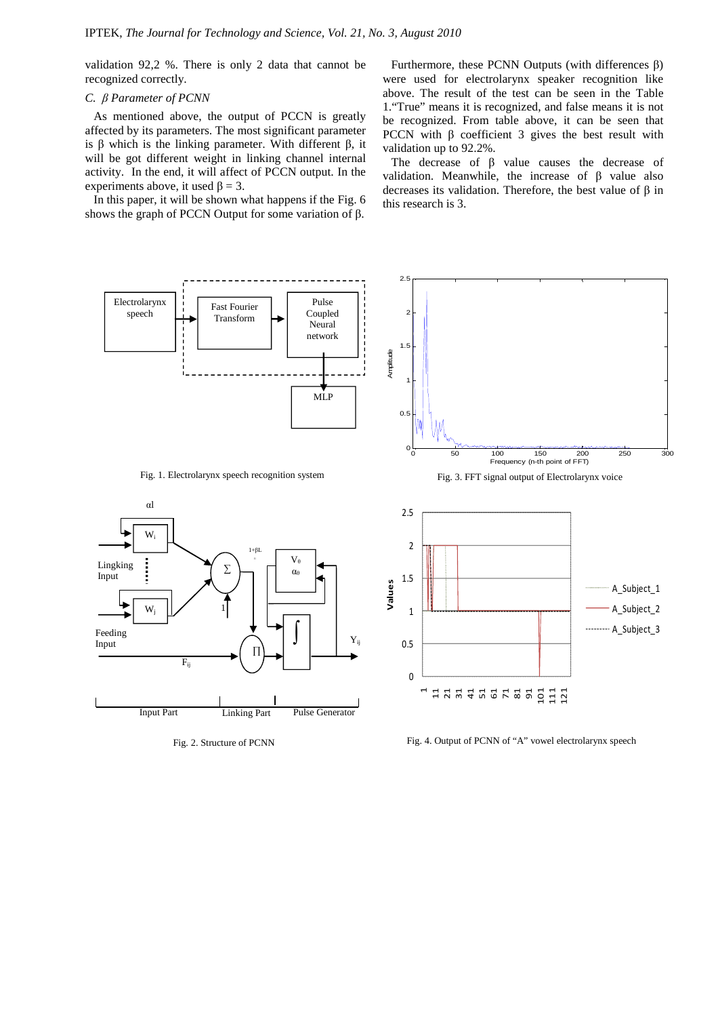validation 92,2 %. There is only 2 data that cannot be recognized correctly.

# *C. β Parameter of PCNN*

As mentioned above, the output of PCCN is greatly affected by its parameters. The most significant parameter is β which is the linking parameter. With different β, it will be got different weight in linking channel internal activity. In the end, it will affect of PCCN output. In the experiments above, it used  $\beta = 3$ .

In this paper, it will be shown what happens if the Fig. 6 shows the graph of PCCN Output for some variation of β.

Furthermore, these PCNN Outputs (with differences β) were used for electrolarynx speaker recognition like above. The result of the test can be seen in the Table 1."True" means it is recognized, and false means it is not be recognized. From table above, it can be seen that PCCN with β coefficient 3 gives the best result with validation up to 92.2%.

The decrease of  $\beta$  value causes the decrease of validation. Meanwhile, the increase of  $β$  value also decreases its validation. Therefore, the best value of β in this research is 3.



Fig. 2. Structure of PCNN

Fig. 4. Output of PCNN of "A" vowel electrolarynx speech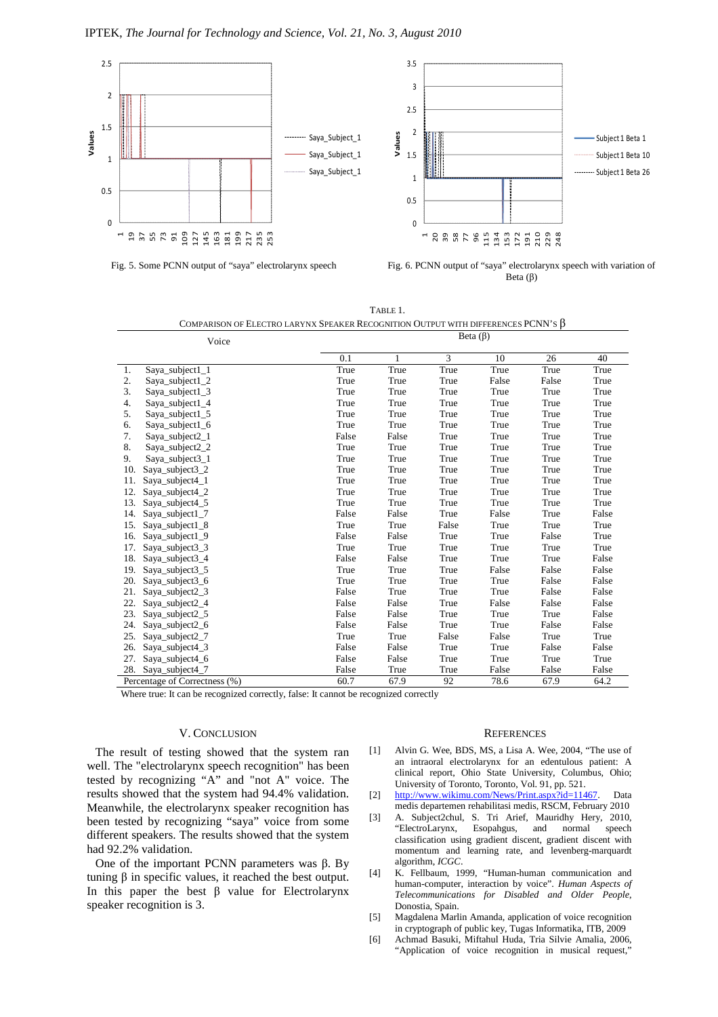

Fig. 5. Some PCNN output of "saya" electrolarynx speech Fig. 6. PCNN output of "saya" electrolarynx speech with variation of Beta (β)

| TABLE 1                                                                             |
|-------------------------------------------------------------------------------------|
| COMPARISON OF ELECTRO LARYNX SPEAKER RECOGNITION OUTPUT WITH DIFFERENCES PCNN'S $B$ |

| Voice |                               |       | Beta $(\beta)$ |       |       |       |       |  |
|-------|-------------------------------|-------|----------------|-------|-------|-------|-------|--|
|       |                               | 0.1   | 1              | 3     | 10    | 26    | 40    |  |
| 1.    | $Saya\_subject1\_1$           | True  | True           | True  | True  | True  | True  |  |
| 2.    | $Saya\_subject1_2$            | True  | True           | True  | False | False | True  |  |
| 3.    | $Saya\_subject1_3$            | True  | True           | True  | True  | True  | True  |  |
| 4.    | Saya_subject1_4               | True  | True           | True  | True  | True  | True  |  |
| 5.    | Saya_subject1_5               | True  | True           | True  | True  | True  | True  |  |
| 6.    | Saya_subject1_6               | True  | True           | True  | True  | True  | True  |  |
| 7.    | Saya_subject2_1               | False | False          | True  | True  | True  | True  |  |
| 8.    | Saya_subject2_2               | True  | True           | True  | True  | True  | True  |  |
| 9.    | Saya_subject3_1               | True  | True           | True  | True  | True  | True  |  |
| 10.   | $Saya$ _subject $3_2$         | True  | True           | True  | True  | True  | True  |  |
| 11.   | Saya_subject4_1               | True  | True           | True  | True  | True  | True  |  |
| 12.   | Saya_subject4_2               | True  | True           | True  | True  | True  | True  |  |
| 13.   | Saya_subject4_5               | True  | True           | True  | True  | True  | True  |  |
| 14.   | $Saya\_subject1\_7$           | False | False          | True  | False | True  | False |  |
| 15.   | Saya_subject1_8               | True  | True           | False | True  | True  | True  |  |
| 16.   | Saya_subject1_9               | False | False          | True  | True  | False | True  |  |
| 17.   | $Saya\_subject3_3$            | True  | True           | True  | True  | True  | True  |  |
| 18.   | Saya_subject3_4               | False | False          | True  | True  | True  | False |  |
| 19.   | $Saya$ _subject $3_5$         | True  | True           | True  | False | False | False |  |
| 20.   | Saya_subject3_6               | True  | True           | True  | True  | False | False |  |
| 21.   | Saya_subject2_3               | False | True           | True  | True  | False | False |  |
| 22.   | $Saya\_subject2_4$            | False | False          | True  | False | False | False |  |
| 23.   | Saya_subject2_5               | False | False          | True  | True  | True  | False |  |
| 24.   | Saya_subject2_6               | False | False          | True  | True  | False | False |  |
| 25.   | Saya_subject2_7               | True  | True           | False | False | True  | True  |  |
| 26.   | Saya_subject4_3               | False | False          | True  | True  | False | False |  |
| 27.   | Saya_subject4_6               | False | False          | True  | True  | True  | True  |  |
|       | 28. Saya_subject4_7           | False | True           | True  | False | False | False |  |
|       | Percentage of Correctness (%) | 60.7  | 67.9           | 92    | 78.6  | 67.9  | 64.2  |  |

Where true: It can be recognized correctly, false: It cannot be recognized correctly

# V. CONCLUSION

The result of testing showed that the system ran well. The "electrolarynx speech recognition" has been tested by recognizing "A" and "not A" voice. The results showed that the system had 94.4% validation. Meanwhile, the electrolarynx speaker recognition has been tested by recognizing "saya" voice from some different speakers. The results showed that the system had 92.2% validation.

One of the important PCNN parameters was  $β$ . By tuning β in specific values, it reached the best output. In this paper the best  $\beta$  value for Electrolarynx speaker recognition is 3.

#### **REFERENCES**

- [1] Alvin G. Wee, BDS, MS, a Lisa A. Wee, 2004, "The use of an intraoral electrolarynx for an edentulous patient: A clinical report, Ohio State University, Columbus, Ohio; University of Toronto, Toronto, Vol. 91, pp. 521.
- [2] http://www.wikimu.com/News/Print.aspx?id=11467. Data medis departemen rehabilitasi medis, RSCM, February 2010
- [3] A. Subject2chul, S. Tri Arief, Mauridhy Hery, 2010, "ElectroLarynx, Esopahgus, and normal speech classification using gradient discent, gradient discent with momentum and learning rate, and levenberg-marquardt algorithm, *ICGC*.
- [4] K. Fellbaum, 1999, "Human-human communication and human-computer, interaction by voice". *Human Aspects of Telecommunications for Disabled and Older People*, Donostia, Spain.
- [5] Magdalena Marlin Amanda, application of voice recognition in cryptograph of public key, Tugas Informatika, ITB, 2009
- [6] Achmad Basuki, Miftahul Huda, Tria Silvie Amalia, 2006, "Application of voice recognition in musical request,"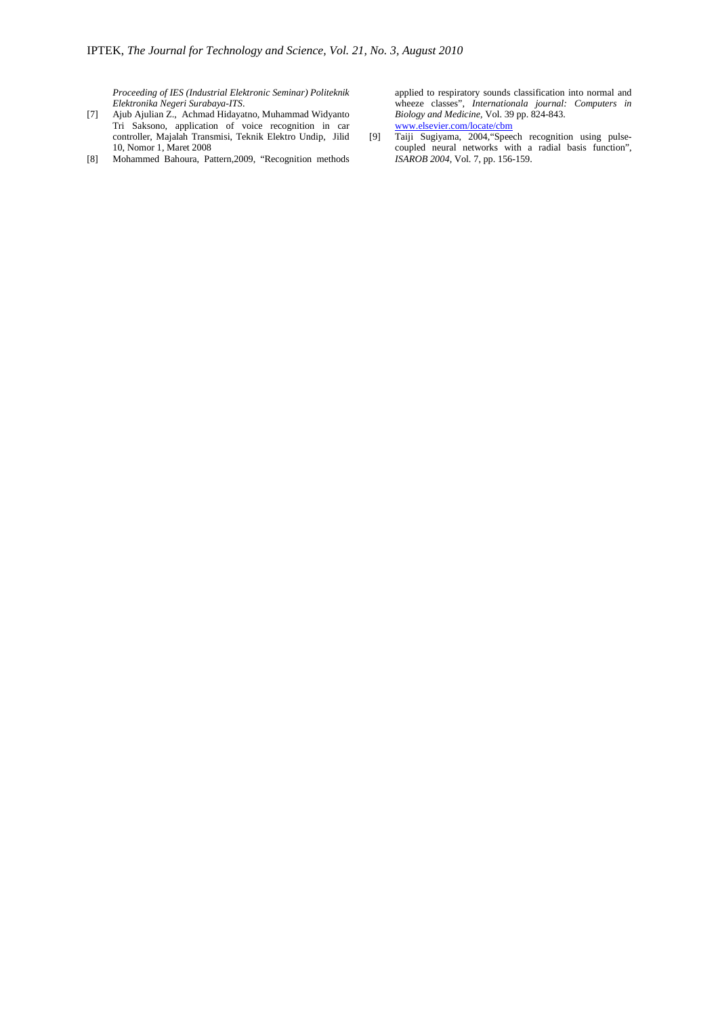*Proceeding of IES (Industrial Elektronic Seminar) Politeknik Elektronika Negeri Surabaya-ITS*.

- [7] Ajub Ajulian Z., Achmad Hidayatno, Muhammad Widyanto Tri Saksono, application of voice recognition in car controller, Majalah Transmisi, Teknik Elektro Undip, Jilid 10, Nomor 1, Maret 2008
- [8] Mohammed Bahoura, Pattern,2009, "Recognition methods

applied to respiratory sounds classification into normal and wheeze classes", *Internationala journal: Computers in Biology and Medicine,* Vol. 39 pp. 824-843. www.elsevier.com/locate/cbm

[9] Taiji Sugiyama, 2004,"Speech recognition using pulsecoupled neural networks with a radial basis function", *ISAROB 2004*, Vol. 7, pp. 156-159.